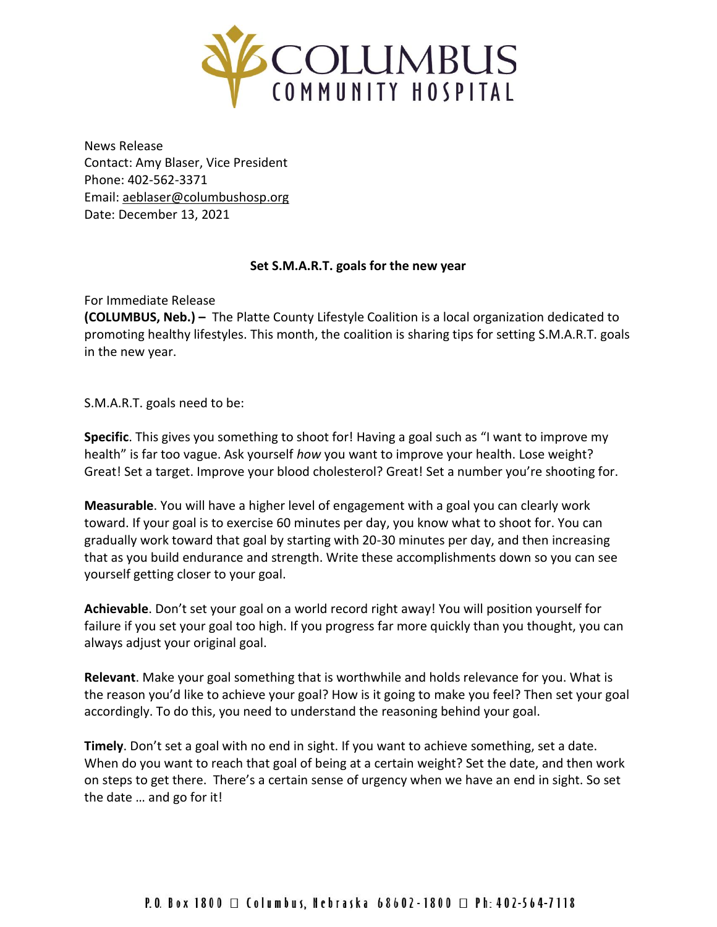

News Release Contact: Amy Blaser, Vice President Phone: 402-562-3371 Email: [aeblaser@columbushosp.org](mailto:aeblaser@columbushosp.org) Date: December 13, 2021

## **Set S.M.A.R.T. goals for the new year**

For Immediate Release

**(COLUMBUS, Neb.) –** The Platte County Lifestyle Coalition is a local organization dedicated to promoting healthy lifestyles. This month, the coalition is sharing tips for setting S.M.A.R.T. goals in the new year.

S.M.A.R.T. goals need to be:

**Specific**. This gives you something to shoot for! Having a goal such as "I want to improve my health" is far too vague. Ask yourself *how* you want to improve your health. Lose weight? Great! Set a target. Improve your blood cholesterol? Great! Set a number you're shooting for.

**Measurable**. You will have a higher level of engagement with a goal you can clearly work toward. If your goal is to exercise 60 minutes per day, you know what to shoot for. You can gradually work toward that goal by starting with 20-30 minutes per day, and then increasing that as you build endurance and strength. Write these accomplishments down so you can see yourself getting closer to your goal.

**Achievable**. Don't set your goal on a world record right away! You will position yourself for failure if you set your goal too high. If you progress far more quickly than you thought, you can always adjust your original goal.

**Relevant**. Make your goal something that is worthwhile and holds relevance for you. What is the reason you'd like to achieve your goal? How is it going to make you feel? Then set your goal accordingly. To do this, you need to understand the reasoning behind your goal.

**Timely**. Don't set a goal with no end in sight. If you want to achieve something, set a date. When do you want to reach that goal of being at a certain weight? Set the date, and then work on steps to get there. There's a certain sense of urgency when we have an end in sight. So set the date … and go for it!